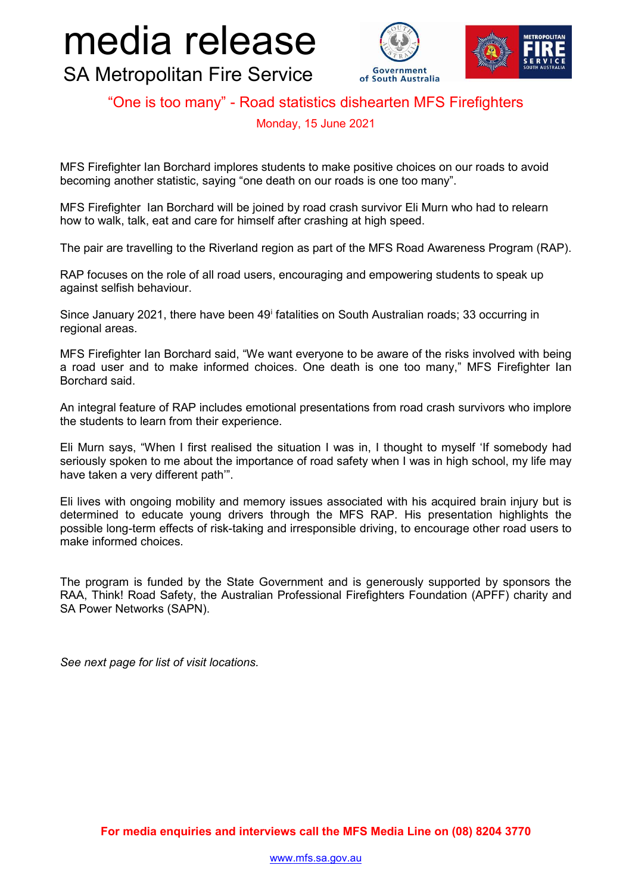## media release





SA Metropolitan Fire Service

## "One is too many" - Road statistics dishearten MFS Firefighters

Monday, 15 June 2021

MFS Firefighter Ian Borchard implores students to make positive choices on our roads to avoid becoming another statistic, saying "one death on our roads is one too many".

MFS Firefighter Ian Borchard will be joined by road crash survivor Eli Murn who had to relearn how to walk, talk, eat and care for himself after crashing at high speed.

The pair are travelling to the Riverland region as part of the MFS Road Awareness Program (RAP).

RAP focuses on the role of all road users, encouraging and empowering students to speak up against selfish behaviour.

S[i](#page-1-0)nce January 2021, there have been 49<sup>i</sup> fatalities on South Australian roads; 33 occurring in regional areas.

MFS Firefighter Ian Borchard said, "We want everyone to be aware of the risks involved with being a road user and to make informed choices. One death is one too many," MFS Firefighter Ian Borchard said.

An integral feature of RAP includes emotional presentations from road crash survivors who implore the students to learn from their experience.

Eli Murn says, "When I first realised the situation I was in, I thought to myself 'If somebody had seriously spoken to me about the importance of road safety when I was in high school, my life may have taken a very different path'".

Eli lives with ongoing mobility and memory issues associated with his acquired brain injury but is determined to educate young drivers through the MFS RAP. His presentation highlights the possible long-term effects of risk-taking and irresponsible driving, to encourage other road users to make informed choices.

The program is funded by the State Government and is generously supported by sponsors the RAA, Think! Road Safety, the Australian Professional Firefighters Foundation (APFF) charity and SA Power Networks (SAPN).

*See next page for list of visit locations.*